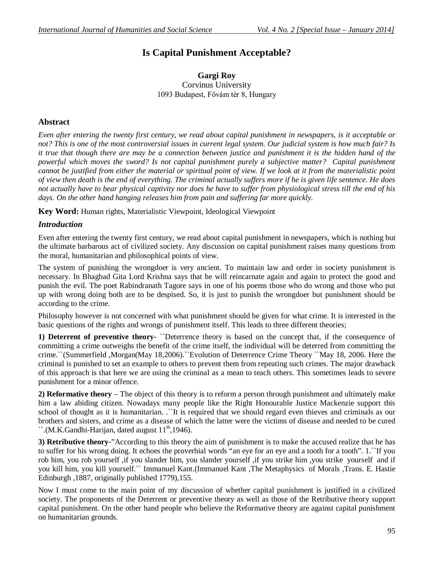# **Is Capital Punishment Acceptable?**

### **Gargi Roy** Corvinus University 1093 Budapest, Fővám tér 8, Hungary

## **Abstract**

*Even after entering the twenty first century, we read about capital punishment in newspapers, is it acceptable or not? This is one of the most controversial issues in current legal system. Our judicial system is how much fair? Is it true that though there are may be a connection between justice and punishment it is the hidden hand of the powerful which moves the sword? Is not capital punishment purely a subjective matter? Capital punishment cannot be justified from either the material or spiritual point of view. If we look at it from the materialistic point of view then death is the end of everything. The criminal actually suffers more if he is given life sentence. He does not actually have to bear physical captivity nor does he have to suffer from physiological stress till the end of his days. On the other hand hanging releases him from pain and suffering far more quickly.*

**Key Word:** Human rights, Materialistic Viewpoint, Ideological Viewpoint

## *Introduction*

Even after entering the twenty first century, we read about capital punishment in newspapers, which is nothing but the ultimate barbarous act of civilized society. Any discussion on capital punishment raises many questions from the moral, humanitarian and philosophical points of view.

The system of punishing the wrongdoer is very ancient. To maintain law and order in society punishment is necessary. In Bhagbad Gita Lord Krishna says that he will reincarnate again and again to protect the good and punish the evil. The poet Rabindranath Tagore says in one of his poems those who do wrong and those who put up with wrong doing both are to be despised. So, it is just to punish the wrongdoer but punishment should be according to the crime.

Philosophy however is not concerned with what punishment should be given for what crime. It is interested in the basic questions of the rights and wrongs of punishment itself. This leads to three different theories;

**1) Deterrent of preventive theory**- ``Deterrence theory is based on the concept that, if the consequence of committing a crime outweighs the benefit of the crime itself, the individual will be deterred from committing the crime.``(Summerfield ,Morgan(May 18,2006).``Evolution of Deterrence Crime Theory ``May 18, 2006. Here the criminal is punished to set an example to others to prevent them from repeating such crimes. The major drawback of this approach is that here we are using the criminal as a mean to teach others. This sometimes leads to severe punishment for a minor offence.

**2) Reformative theory** – The object of this theory is to reform a person through punishment and ultimately make him a law abiding citizen. Nowadays many people like the Right Honourable Justice Mackenzie support this school of thought as it is humanitarian. .``It is required that we should regard even thieves and criminals as our brothers and sisters, and crime as a disease of which the latter were the victims of disease and needed to be cured  $\lq$ .(M.K.Gandhi-Harijan, dated august  $11<sup>th</sup>$ , 1946).

**3) Retributive theory**-"According to this theory the aim of punishment is to make the accused realize that he has to suffer for his wrong doing. It echoes the proverbial words "an eye for an eye and a tooth for a tooth". 1.``If you rob him, you rob yourself ,if you slander him, you slander yourself ,if you strike him ,you strike yourself and if you kill him, you kill yourself.`` Immanuel Kant.(Immanuel Kant ,The Metaphysics of Morals ,Trans. E. Hastie Edinburgh ,1887, originally published 1779),155.

Now I must come to the main point of my discussion of whether capital punishment is justified in a civilized society. The proponents of the Deterrent or preventive theory as well as those of the Retributive theory support capital punishment. On the other hand people who believe the Reformative theory are against capital punishment on humanitarian grounds.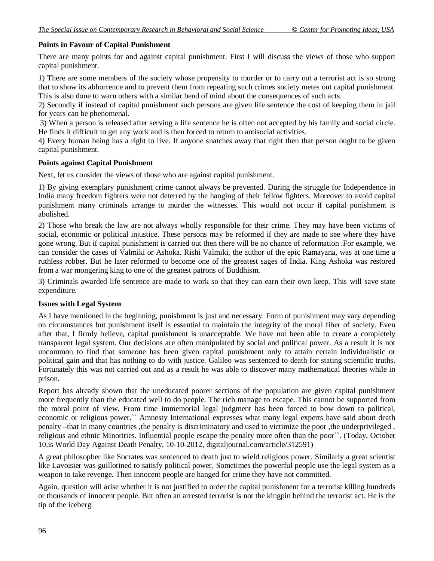## **Points in Favour of Capital Punishment**

There are many points for and against capital punishment. First I will discuss the views of those who support capital punishment.

1) There are some members of the society whose propensity to murder or to carry out a terrorist act is so strong that to show its abhorrence and to prevent them from repeating such crimes society metes out capital punishment. This is also done to warn others with a similar bend of mind about the consequences of such acts.

2) Secondly if instead of capital punishment such persons are given life sentence the cost of keeping them in jail for years can be phenomenal.

3) When a person is released after serving a life sentence he is often not accepted by his family and social circle. He finds it difficult to get any work and is then forced to return to antisocial activities.

4) Every human being has a right to live. If anyone snatches away that right then that person ought to be given capital punishment.

#### **Points against Capital Punishment**

Next, let us consider the views of those who are against capital punishment.

1) By giving exemplary punishment crime cannot always be prevented. During the struggle for Independence in India many freedom fighters were not deterred by the hanging of their fellow fighters. Moreover to avoid capital punishment many criminals arrange to murder the witnesses. This would not occur if capital punishment is abolished.

2) Those who break the law are not always wholly responsible for their crime. They may have been victims of social, economic or political injustice. These persons may be reformed if they are made to see where they have gone wrong. But if capital punishment is carried out then there will be no chance of reformation .For example, we can consider the cases of Valmiki or Ashoka. Rishi Valmiki, the author of the epic Ramayana, was at one time a ruthless robber. But he later reformed to become one of the greatest sages of India. King Ashoka was restored from a war mongering king to one of the greatest patrons of Buddhism.

3) Criminals awarded life sentence are made to work so that they can earn their own keep. This will save state expenditure.

#### **Issues with Legal System**

As I have mentioned in the beginning, punishment is just and necessary. Form of punishment may vary depending on circumstances but punishment itself is essential to maintain the integrity of the moral fiber of society. Even after that, I firmly believe, capital punishment is unacceptable. We have not been able to create a completely transparent legal system. Our decisions are often manipulated by social and political power. As a result it is not uncommon to find that someone has been given capital punishment only to attain certain individualistic or political gain and that has nothing to do with justice. Galileo was sentenced to death for stating scientific truths. Fortunately this was not carried out and as a result he was able to discover many mathematical theories while in prison.

Report has already shown that the uneducated poorer sections of the population are given capital punishment more frequently than the educated well to do people. The rich manage to escape. This cannot be supported from the moral point of view. From time immemorial legal judgment has been forced to bow down to political, economic or religious power.`` Amnesty International expresses what many legal experts have said about death penalty –that in many countries ,the penalty is discriminatory and used to victimize the poor ,the underprivileged , religious and ethnic Minorities. Influential people escape the penalty more often than the poor``. (Today, October 10,is World Day Against Death Penalty, 10-10-2012, digitaljournal.com/article/312591)

A great philosopher like Socrates was sentenced to death just to wield religious power. Similarly a great scientist like Lavoisier was guillotined to satisfy political power. Sometimes the powerful people use the legal system as a weapon to take revenge. Then innocent people are hanged for crime they have not committed.

Again, question will arise whether it is not justified to order the capital punishment for a terrorist killing hundreds or thousands of innocent people. But often an arrested terrorist is not the kingpin behind the terrorist act. He is the tip of the iceberg.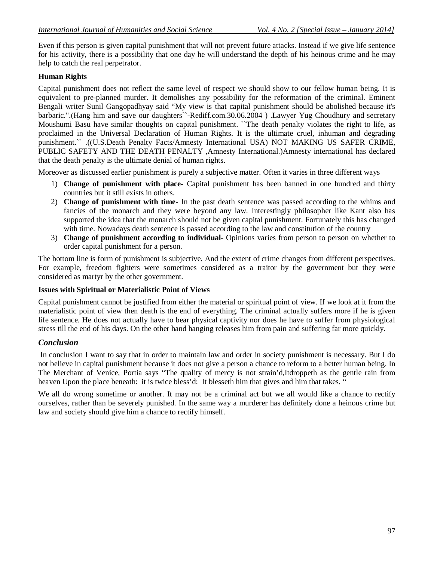Even if this person is given capital punishment that will not prevent future attacks. Instead if we give life sentence for his activity, there is a possibility that one day he will understand the depth of his heinous crime and he may help to catch the real perpetrator.

#### **Human Rights**

Capital punishment does not reflect the same level of respect we should show to our fellow human being. It is equivalent to pre-planned murder. It demolishes any possibility for the reformation of the criminal. Eminent Bengali writer Sunil Gangopadhyay said "My view is that capital punishment should be abolished because it's barbaric.".(Hang him and save our daughters``-Rediff.com.30.06.2004 ) .Lawyer Yug Choudhury and secretary Moushumi Basu have similar thoughts on capital punishment. ``The death penalty violates the right to life, as proclaimed in the Universal Declaration of Human Rights. It is the ultimate cruel, inhuman and degrading punishment.`` .((U.S.Death Penalty Facts/Amnesty International USA) NOT MAKING US SAFER CRIME, PUBLIC SAFETY AND THE DEATH PENALTY ,Amnesty International.)Amnesty international has declared that the death penalty is the ultimate denial of human rights.

Moreover as discussed earlier punishment is purely a subjective matter. Often it varies in three different ways

- 1) **Change of punishment with place** Capital punishment has been banned in one hundred and thirty countries but it still exists in others.
- 2) **Change of punishment with time** In the past death sentence was passed according to the whims and fancies of the monarch and they were beyond any law. Interestingly philosopher like Kant also has supported the idea that the monarch should not be given capital punishment. Fortunately this has changed with time. Nowadays death sentence is passed according to the law and constitution of the country
- 3) **Change of punishment according to individual** Opinions varies from person to person on whether to order capital punishment for a person.

The bottom line is form of punishment is subjective. And the extent of crime changes from different perspectives. For example, freedom fighters were sometimes considered as a traitor by the government but they were considered as martyr by the other government.

#### **Issues with Spiritual or Materialistic Point of Views**

Capital punishment cannot be justified from either the material or spiritual point of view. If we look at it from the materialistic point of view then death is the end of everything. The criminal actually suffers more if he is given life sentence. He does not actually have to bear physical captivity nor does he have to suffer from physiological stress till the end of his days. On the other hand hanging releases him from pain and suffering far more quickly.

#### *Conclusion*

In conclusion I want to say that in order to maintain law and order in society punishment is necessary. But I do not believe in capital punishment because it does not give a person a chance to reform to a better human being. In The Merchant of Venice, Portia says "The quality of mercy is not strain'd,Itdroppeth as the gentle rain from heaven Upon the place beneath: it is twice bless'd: It blesseth him that gives and him that takes. "

We all do wrong sometime or another. It may not be a criminal act but we all would like a chance to rectify ourselves, rather than be severely punished. In the same way a murderer has definitely done a heinous crime but law and society should give him a chance to rectify himself.